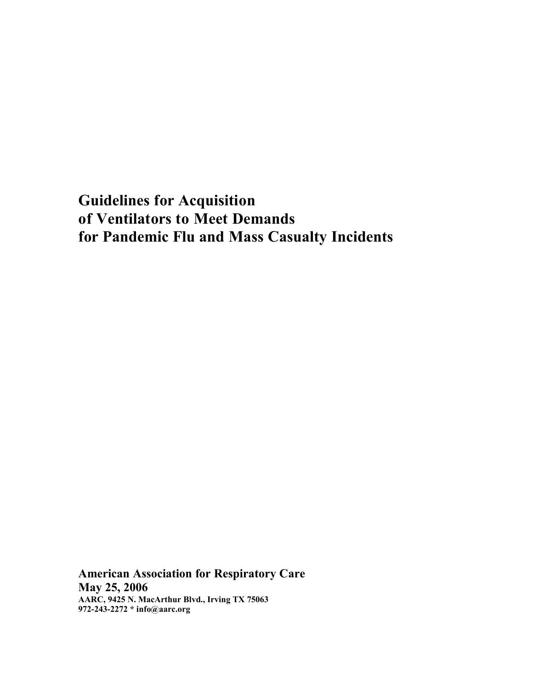**Guidelines for Acquisition of Ventilators to Meet Demands for Pandemic Flu and Mass Casualty Incidents**

**American Association for Respiratory Care May 25, 2006 AARC, 9425 N. MacArthur Blvd., Irving TX 75063 972-243-2272 \* info@aarc.org**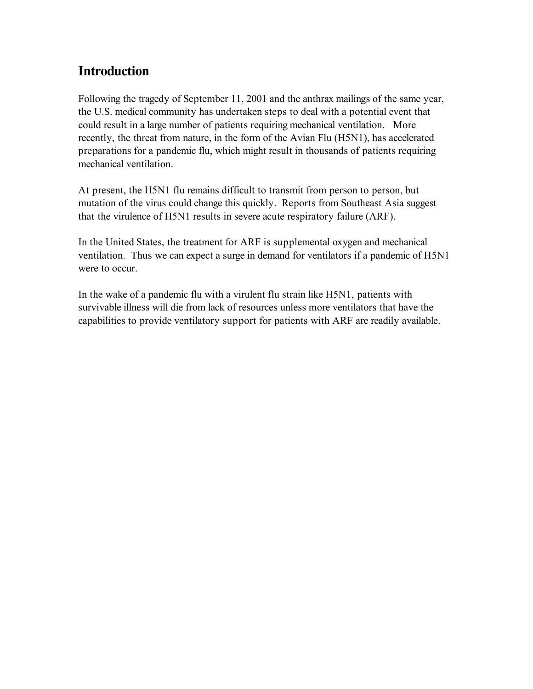# **Introduction**

Following the tragedy of September 11, 2001 and the anthrax mailings of the same year, the U.S. medical community has undertaken steps to deal with a potential event that could result in a large number of patients requiring mechanical ventilation. More recently, the threat from nature, in the form of the Avian Flu (H5N1), has accelerated preparations for a pandemic flu, which might result in thousands of patients requiring mechanical ventilation.

At present, the H5N1 flu remains difficult to transmit from person to person, but mutation of the virus could change this quickly. Reports from Southeast Asia suggest that the virulence of H5N1 results in severe acute respiratory failure (ARF).

In the United States, the treatment for ARF is supplemental oxygen and mechanical ventilation. Thus we can expect a surge in demand for ventilators if a pandemic of H5N1 were to occur.

In the wake of a pandemic flu with a virulent flu strain like H5N1, patients with survivable illness will die from lack of resources unless more ventilators that have the capabilities to provide ventilatory support for patients with ARF are readily available.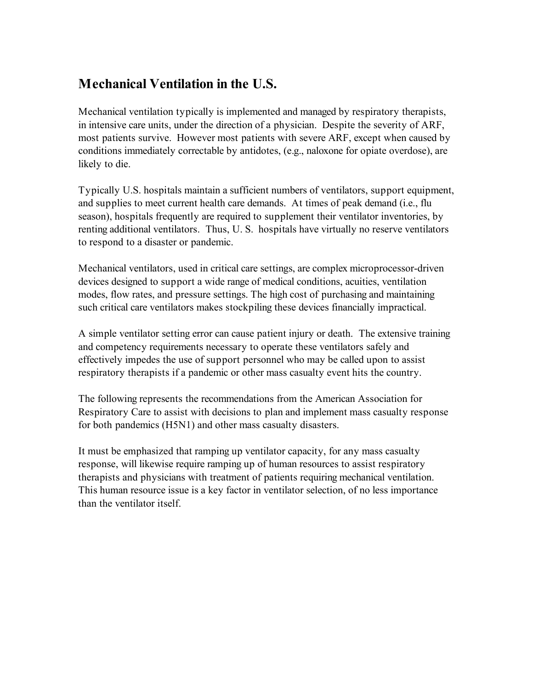# **Mechanical Ventilation in the U.S.**

Mechanical ventilation typically is implemented and managed by respiratory therapists, in intensive care units, under the direction of a physician. Despite the severity of ARF, most patients survive. However most patients with severe ARF, except when caused by conditions immediately correctable by antidotes, (e.g., naloxone for opiate overdose), are likely to die.

Typically U.S. hospitals maintain a sufficient numbers of ventilators, support equipment, and supplies to meet current health care demands. At times of peak demand (i.e., flu season), hospitals frequently are required to supplement their ventilator inventories, by renting additional ventilators. Thus, U. S. hospitals have virtually no reserve ventilators to respond to a disaster or pandemic.

Mechanical ventilators, used in critical care settings, are complex microprocessor-driven devices designed to support a wide range of medical conditions, acuities, ventilation modes, flow rates, and pressure settings. The high cost of purchasing and maintaining such critical care ventilators makes stockpiling these devices financially impractical.

A simple ventilator setting error can cause patient injury or death. The extensive training and competency requirements necessary to operate these ventilators safely and effectively impedes the use of support personnel who may be called upon to assist respiratory therapists if a pandemic or other mass casualty event hits the country.

The following represents the recommendations from the American Association for Respiratory Care to assist with decisions to plan and implement mass casualty response for both pandemics (H5N1) and other mass casualty disasters.

It must be emphasized that ramping up ventilator capacity, for any mass casualty response, will likewise require ramping up of human resources to assist respiratory therapists and physicians with treatment of patients requiring mechanical ventilation. This human resource issue is a key factor in ventilator selection, of no less importance than the ventilator itself.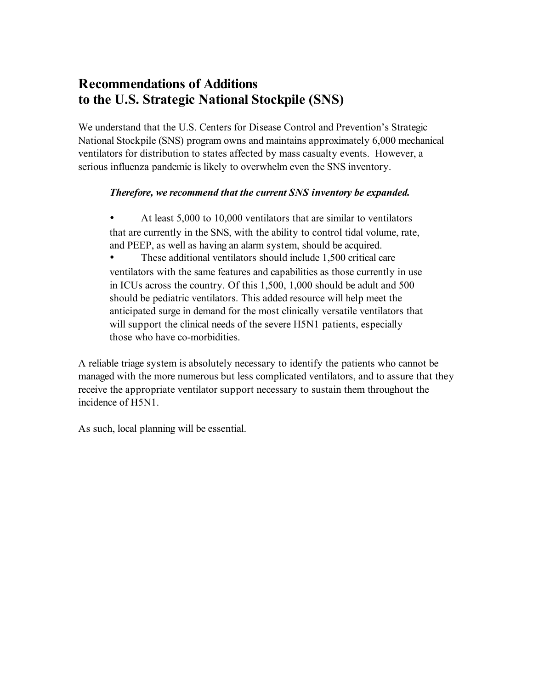# **Recommendations of Additions to the U.S. Strategic National Stockpile (SNS)**

We understand that the U.S. Centers for Disease Control and Prevention's Strategic National Stockpile (SNS) program owns and maintains approximately 6,000 mechanical ventilators for distribution to states affected by mass casualty events. However, a serious influenza pandemic is likely to overwhelm even the SNS inventory.

#### *Therefore, we recommend that the current SNS inventory be expanded.*

• At least 5,000 to 10,000 ventilators that are similar to ventilators that are currently in the SNS, with the ability to control tidal volume, rate, and PEEP, as well as having an alarm system, should be acquired.

• These additional ventilators should include 1,500 critical care ventilators with the same features and capabilities as those currently in use in ICUs across the country. Of this 1,500, 1,000 should be adult and 500 should be pediatric ventilators. This added resource will help meet the anticipated surge in demand for the most clinically versatile ventilators that will support the clinical needs of the severe H5N1 patients, especially those who have co-morbidities.

A reliable triage system is absolutely necessary to identify the patients who cannot be managed with the more numerous but less complicated ventilators, and to assure that they receive the appropriate ventilator support necessary to sustain them throughout the incidence of H5N1.

As such, local planning will be essential.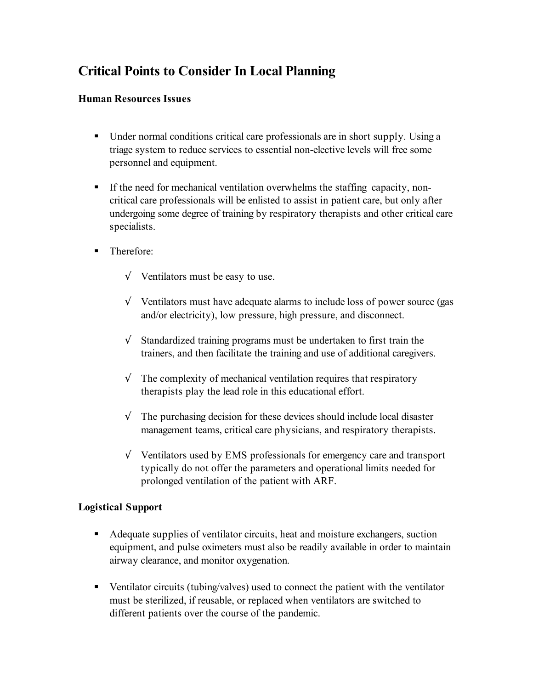# **Critical Points to Consider In Local Planning**

#### **Human Resources Issues**

- Under normal conditions critical care professionals are in short supply. Using a triage system to reduce services to essential non-elective levels will free some personnel and equipment.
- If the need for mechanical ventilation overwhelms the staffing capacity, noncritical care professionals will be enlisted to assist in patient care, but only after undergoing some degree of training by respiratory therapists and other critical care specialists.
- Therefore:
	- √ Ventilators must be easy to use.
	- $\sqrt{\phantom{a}}$  Ventilators must have adequate alarms to include loss of power source (gas and/or electricity), low pressure, high pressure, and disconnect.
	- $\sqrt{\ }$  Standardized training programs must be undertaken to first train the trainers, and then facilitate the training and use of additional caregivers.
	- $\sqrt{\phantom{a}}$  The complexity of mechanical ventilation requires that respiratory therapists play the lead role in this educational effort.
	- $\sqrt{\ }$  The purchasing decision for these devices should include local disaster management teams, critical care physicians, and respiratory therapists.
	- √ Ventilators used by EMS professionals for emergency care and transport typically do not offer the parameters and operational limits needed for prolonged ventilation of the patient with ARF.

#### **Logistical Support**

- Adequate supplies of ventilator circuits, heat and moisture exchangers, suction equipment, and pulse oximeters must also be readily available in order to maintain airway clearance, and monitor oxygenation.
- Ventilator circuits (tubing/valves) used to connect the patient with the ventilator must be sterilized, if reusable, or replaced when ventilators are switched to different patients over the course of the pandemic.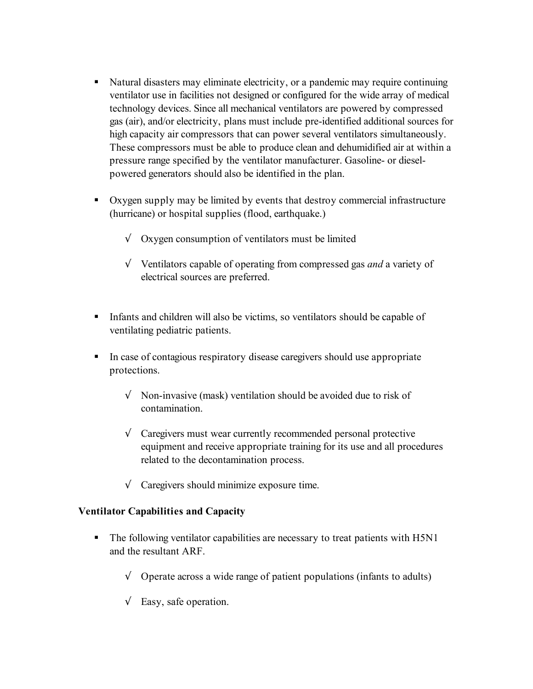- Natural disasters may eliminate electricity, or a pandemic may require continuing ventilator use in facilities not designed or configured for the wide array of medical technology devices. Since all mechanical ventilators are powered by compressed gas (air), and/or electricity, plans must include pre-identified additional sources for high capacity air compressors that can power several ventilators simultaneously. These compressors must be able to produce clean and dehumidified air at within a pressure range specified by the ventilator manufacturer. Gasoline- or dieselpowered generators should also be identified in the plan.
- Oxygen supply may be limited by events that destroy commercial infrastructure (hurricane) or hospital supplies (flood, earthquake.)
	- $\sqrt{\phantom{a}}$  Oxygen consumption of ventilators must be limited
	- √ Ventilators capable of operating from compressed gas *and* a variety of electrical sources are preferred.
- Infants and children will also be victims, so ventilators should be capable of ventilating pediatric patients.
- In case of contagious respiratory disease caregivers should use appropriate protections.
	- $\sqrt{\phantom{a}}$  Non-invasive (mask) ventilation should be avoided due to risk of contamination.
	- $\sqrt{\phantom{a}}$  Caregivers must wear currently recommended personal protective equipment and receive appropriate training for its use and all procedures related to the decontamination process.
	- $\sqrt{\phantom{a}}$  Caregivers should minimize exposure time.

#### **Ventilator Capabilities and Capacity**

- The following ventilator capabilities are necessary to treat patients with H5N1 and the resultant ARF.
	- $\sqrt{\phantom{a}}$  Operate across a wide range of patient populations (infants to adults)
	- $\sqrt{\phantom{a}}$  Easy, safe operation.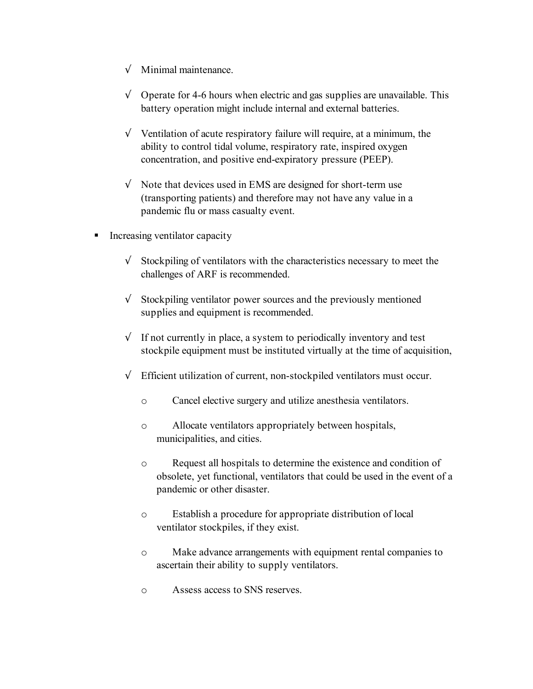- $\sqrt{\ }$  Minimal maintenance.
- $\sqrt{\phantom{a}}$  Operate for 4-6 hours when electric and gas supplies are unavailable. This battery operation might include internal and external batteries.
- $\sqrt{\ }$  Ventilation of acute respiratory failure will require, at a minimum, the ability to control tidal volume, respiratory rate, inspired oxygen concentration, and positive end-expiratory pressure (PEEP).
- $\sqrt{\phantom{a}}$  Note that devices used in EMS are designed for short-term use (transporting patients) and therefore may not have any value in a pandemic flu or mass casualty event.
- **Increasing ventilator capacity** 
	- $\sqrt{\frac{1}{\sqrt{1}}\int \frac{1}{\sqrt{1-\frac{1}{\sqrt{1-\frac{1}{\sqrt{1-\frac{1}{\sqrt{1-\frac{1}{\sqrt{1-\frac{1}{\sqrt{1-\frac{1}{\sqrt{1-\frac{1}{\sqrt{1-\frac{1}{\sqrt{1-\frac{1}{\sqrt{1-\frac{1}{\sqrt{1-\frac{1}{\sqrt{1-\frac{1}{\sqrt{1-\frac{1}{\sqrt{1-\frac{1}{\sqrt{1-\frac{1}{\sqrt{1-\frac{1}{\sqrt{1-\frac{1}{\sqrt{1-\frac{1}{\sqrt{1-\frac{1}{\sqrt{1-\frac{1}{\sqrt{1-\frac{1}{\sqrt{1-\frac{1}{\sqrt{$ challenges of ARF is recommended.
	- $\sqrt{\ }$  Stockpiling ventilator power sources and the previously mentioned supplies and equipment is recommended.
	- $\sqrt{\ }$  If not currently in place, a system to periodically inventory and test stockpile equipment must be instituted virtually at the time of acquisition,
	- $\sqrt{\phantom{a}}$  Efficient utilization of current, non-stockpiled ventilators must occur.
		- o Cancel elective surgery and utilize anesthesia ventilators.
		- o Allocate ventilators appropriately between hospitals, municipalities, and cities.
		- o Request all hospitals to determine the existence and condition of obsolete, yet functional, ventilators that could be used in the event of a pandemic or other disaster.
		- o Establish a procedure for appropriate distribution of local ventilator stockpiles, if they exist.
		- o Make advance arrangements with equipment rental companies to ascertain their ability to supply ventilators.
		- o Assess access to SNS reserves.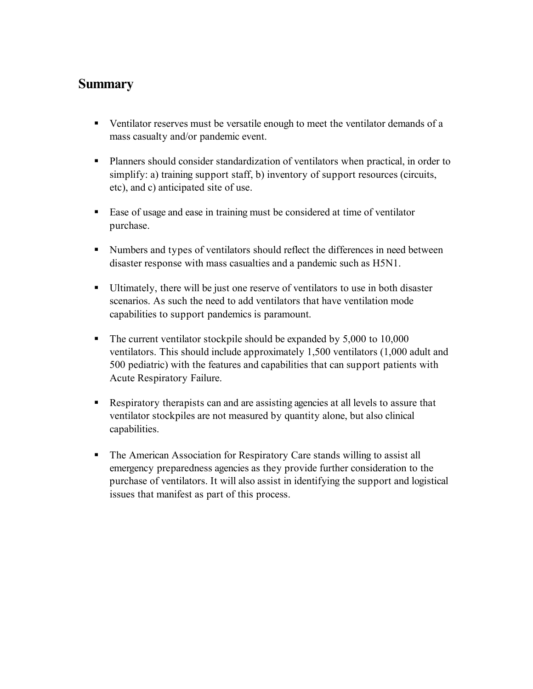### **Summary**

- Ventilator reserves must be versatile enough to meet the ventilator demands of a mass casualty and/or pandemic event.
- Planners should consider standardization of ventilators when practical, in order to simplify: a) training support staff, b) inventory of support resources (circuits, etc), and c) anticipated site of use.
- Ease of usage and ease in training must be considered at time of ventilator purchase.
- Numbers and types of ventilators should reflect the differences in need between disaster response with mass casualties and a pandemic such as H5N1.
- Ultimately, there will be just one reserve of ventilators to use in both disaster scenarios. As such the need to add ventilators that have ventilation mode capabilities to support pandemics is paramount.
- The current ventilator stockpile should be expanded by 5,000 to 10,000 ventilators. This should include approximately 1,500 ventilators (1,000 adult and 500 pediatric) with the features and capabilities that can support patients with Acute Respiratory Failure.
- Respiratory therapists can and are assisting agencies at all levels to assure that ventilator stockpiles are not measured by quantity alone, but also clinical capabilities.
- The American Association for Respiratory Care stands willing to assist all emergency preparedness agencies as they provide further consideration to the purchase of ventilators. It will also assist in identifying the support and logistical issues that manifest as part of this process.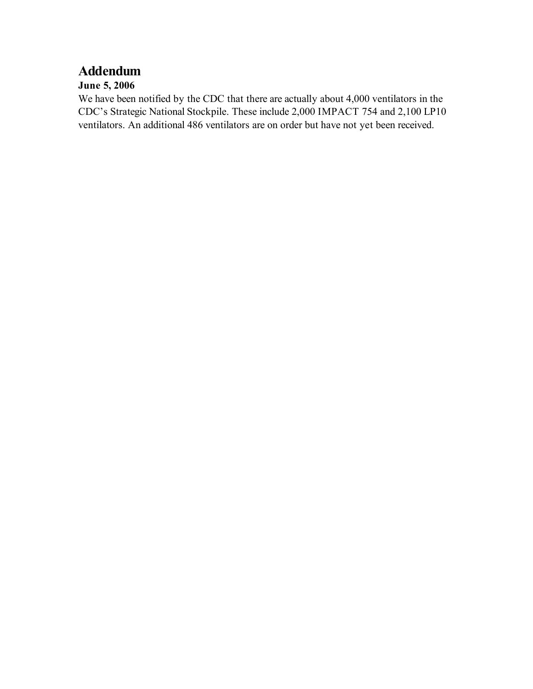# **Addendum**

#### **June 5, 2006**

We have been notified by the CDC that there are actually about 4,000 ventilators in the CDC's Strategic National Stockpile. These include 2,000 IMPACT 754 and 2,100 LP10 ventilators. An additional 486 ventilators are on order but have not yet been received.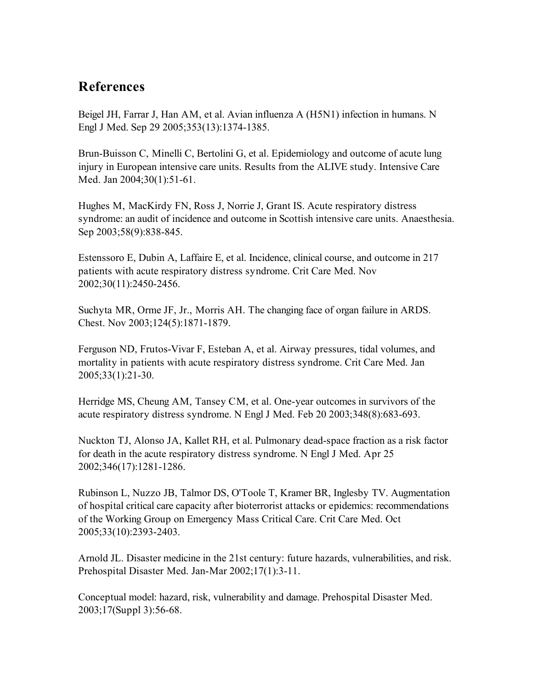### **References**

Beigel JH, Farrar J, Han AM, et al. Avian influenza A (H5N1) infection in humans. N Engl J Med. Sep 29 2005;353(13):1374-1385.

Brun-Buisson C, Minelli C, Bertolini G, et al. Epidemiology and outcome of acute lung injury in European intensive care units. Results from the ALIVE study. Intensive Care Med. Jan 2004;30(1):51-61.

Hughes M, MacKirdy FN, Ross J, Norrie J, Grant IS. Acute respiratory distress syndrome: an audit of incidence and outcome in Scottish intensive care units. Anaesthesia. Sep 2003;58(9):838-845.

Estenssoro E, Dubin A, Laffaire E, et al. Incidence, clinical course, and outcome in 217 patients with acute respiratory distress syndrome. Crit Care Med. Nov 2002;30(11):2450-2456.

Suchyta MR, Orme JF, Jr., Morris AH. The changing face of organ failure in ARDS. Chest. Nov 2003;124(5):1871-1879.

Ferguson ND, Frutos-Vivar F, Esteban A, et al. Airway pressures, tidal volumes, and mortality in patients with acute respiratory distress syndrome. Crit Care Med. Jan 2005;33(1):21-30.

Herridge MS, Cheung AM, Tansey CM, et al. One-year outcomes in survivors of the acute respiratory distress syndrome. N Engl J Med. Feb 20 2003;348(8):683-693.

Nuckton TJ, Alonso JA, Kallet RH, et al. Pulmonary dead-space fraction as a risk factor for death in the acute respiratory distress syndrome. N Engl J Med. Apr 25 2002;346(17):1281-1286.

Rubinson L, Nuzzo JB, Talmor DS, O'Toole T, Kramer BR, Inglesby TV. Augmentation of hospital critical care capacity after bioterrorist attacks or epidemics: recommendations of the Working Group on Emergency Mass Critical Care. Crit Care Med. Oct 2005;33(10):2393-2403.

Arnold JL. Disaster medicine in the 21st century: future hazards, vulnerabilities, and risk. Prehospital Disaster Med. Jan-Mar 2002;17(1):3-11.

Conceptual model: hazard, risk, vulnerability and damage. Prehospital Disaster Med. 2003;17(Suppl 3):56-68.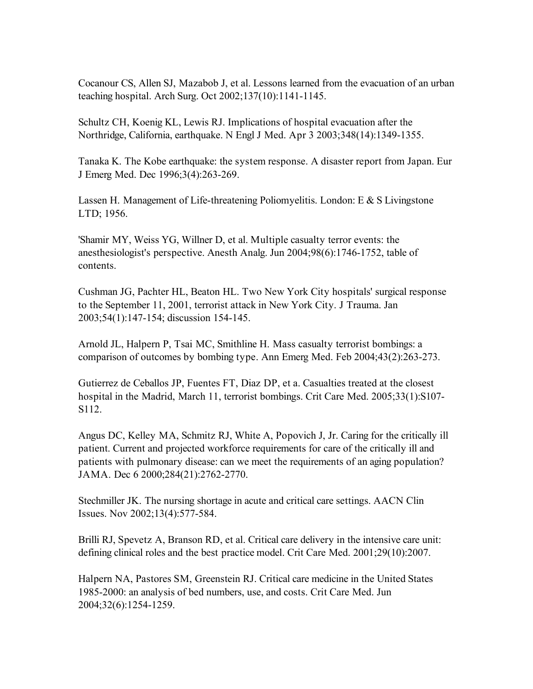Cocanour CS, Allen SJ, Mazabob J, et al. Lessons learned from the evacuation of an urban teaching hospital. Arch Surg. Oct 2002;137(10):1141-1145.

Schultz CH, Koenig KL, Lewis RJ. Implications of hospital evacuation after the Northridge, California, earthquake. N Engl J Med. Apr 3 2003;348(14):1349-1355.

Tanaka K. The Kobe earthquake: the system response. A disaster report from Japan. Eur J Emerg Med. Dec 1996;3(4):263-269.

Lassen H. Management of Life-threatening Poliomyelitis. London: E & S Livingstone LTD; 1956.

'Shamir MY, Weiss YG, Willner D, et al. Multiple casualty terror events: the anesthesiologist's perspective. Anesth Analg. Jun 2004;98(6):1746-1752, table of contents.

Cushman JG, Pachter HL, Beaton HL. Two New York City hospitals' surgical response to the September 11, 2001, terrorist attack in New York City. J Trauma. Jan 2003;54(1):147-154; discussion 154-145.

Arnold JL, Halpern P, Tsai MC, Smithline H. Mass casualty terrorist bombings: a comparison of outcomes by bombing type. Ann Emerg Med. Feb 2004;43(2):263-273.

Gutierrez de Ceballos JP, Fuentes FT, Diaz DP, et a. Casualties treated at the closest hospital in the Madrid, March 11, terrorist bombings. Crit Care Med. 2005;33(1):S107- S112.

Angus DC, Kelley MA, Schmitz RJ, White A, Popovich J, Jr. Caring for the critically ill patient. Current and projected workforce requirements for care of the critically ill and patients with pulmonary disease: can we meet the requirements of an aging population? JAMA. Dec 6 2000;284(21):2762-2770.

Stechmiller JK. The nursing shortage in acute and critical care settings. AACN Clin Issues. Nov 2002;13(4):577-584.

Brilli RJ, Spevetz A, Branson RD, et al. Critical care delivery in the intensive care unit: defining clinical roles and the best practice model. Crit Care Med. 2001;29(10):2007.

Halpern NA, Pastores SM, Greenstein RJ. Critical care medicine in the United States 1985-2000: an analysis of bed numbers, use, and costs. Crit Care Med. Jun 2004;32(6):1254-1259.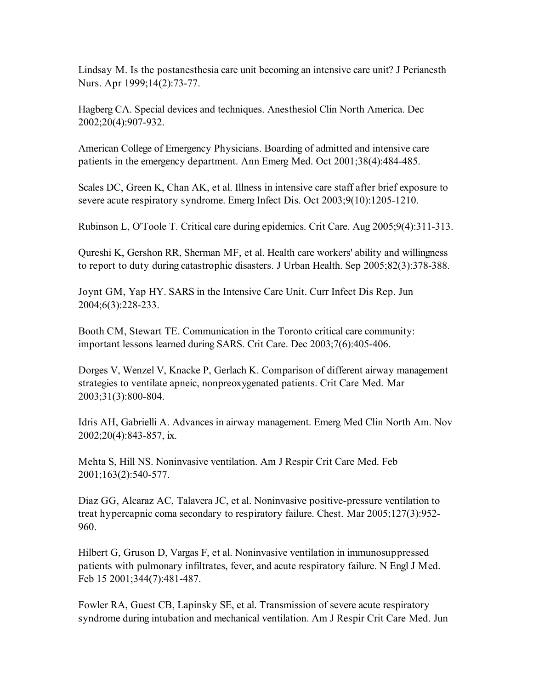Lindsay M. Is the postanesthesia care unit becoming an intensive care unit? J Perianesth Nurs. Apr 1999;14(2):73-77.

Hagberg CA. Special devices and techniques. Anesthesiol Clin North America. Dec 2002;20(4):907-932.

American College of Emergency Physicians. Boarding of admitted and intensive care patients in the emergency department. Ann Emerg Med. Oct 2001;38(4):484-485.

Scales DC, Green K, Chan AK, et al. Illness in intensive care staff after brief exposure to severe acute respiratory syndrome. Emerg Infect Dis. Oct 2003;9(10):1205-1210.

Rubinson L, O'Toole T. Critical care during epidemics. Crit Care. Aug 2005;9(4):311-313.

Qureshi K, Gershon RR, Sherman MF, et al. Health care workers' ability and willingness to report to duty during catastrophic disasters. J Urban Health. Sep 2005;82(3):378-388.

Joynt GM, Yap HY. SARS in the Intensive Care Unit. Curr Infect Dis Rep. Jun 2004;6(3):228-233.

Booth CM, Stewart TE. Communication in the Toronto critical care community: important lessons learned during SARS. Crit Care. Dec 2003;7(6):405-406.

Dorges V, Wenzel V, Knacke P, Gerlach K. Comparison of different airway management strategies to ventilate apneic, nonpreoxygenated patients. Crit Care Med. Mar 2003;31(3):800-804.

Idris AH, Gabrielli A. Advances in airway management. Emerg Med Clin North Am. Nov 2002;20(4):843-857, ix.

Mehta S, Hill NS. Noninvasive ventilation. Am J Respir Crit Care Med. Feb 2001;163(2):540-577.

Diaz GG, Alcaraz AC, Talavera JC, et al. Noninvasive positive-pressure ventilation to treat hypercapnic coma secondary to respiratory failure. Chest. Mar 2005;127(3):952- 960.

Hilbert G, Gruson D, Vargas F, et al. Noninvasive ventilation in immunosuppressed patients with pulmonary infiltrates, fever, and acute respiratory failure. N Engl J Med. Feb 15 2001;344(7):481-487.

Fowler RA, Guest CB, Lapinsky SE, et al. Transmission of severe acute respiratory syndrome during intubation and mechanical ventilation. Am J Respir Crit Care Med. Jun